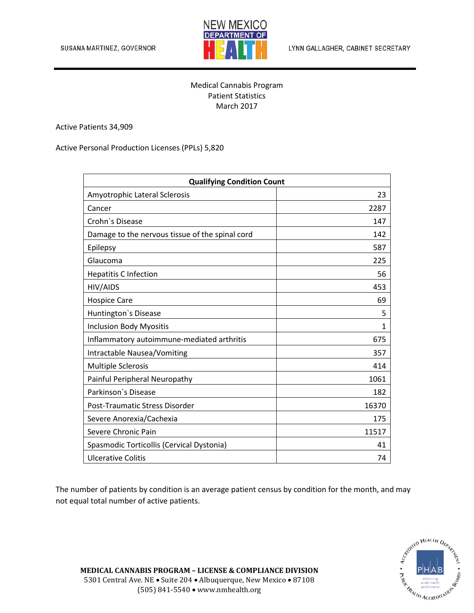

LYNN GALLAGHER, CABINET SECRETARY

## Medical Cannabis Program Patient Statistics March 2017

Active Patients 34,909

Active Personal Production Licenses (PPLs) 5,820

| <b>Qualifying Condition Count</b>               |              |
|-------------------------------------------------|--------------|
| Amyotrophic Lateral Sclerosis                   | 23           |
| Cancer                                          | 2287         |
| Crohn's Disease                                 | 147          |
| Damage to the nervous tissue of the spinal cord | 142          |
| Epilepsy                                        | 587          |
| Glaucoma                                        | 225          |
| <b>Hepatitis C Infection</b>                    | 56           |
| HIV/AIDS                                        | 453          |
| <b>Hospice Care</b>                             | 69           |
| Huntington's Disease                            | 5            |
| <b>Inclusion Body Myositis</b>                  | $\mathbf{1}$ |
| Inflammatory autoimmune-mediated arthritis      | 675          |
| Intractable Nausea/Vomiting                     | 357          |
| Multiple Sclerosis                              | 414          |
| Painful Peripheral Neuropathy                   | 1061         |
| Parkinson's Disease                             | 182          |
| Post-Traumatic Stress Disorder                  | 16370        |
| Severe Anorexia/Cachexia                        | 175          |
| Severe Chronic Pain                             | 11517        |
| Spasmodic Torticollis (Cervical Dystonia)       | 41           |
| <b>Ulcerative Colitis</b>                       | 74           |

The number of patients by condition is an average patient census by condition for the month, and may not equal total number of active patients.